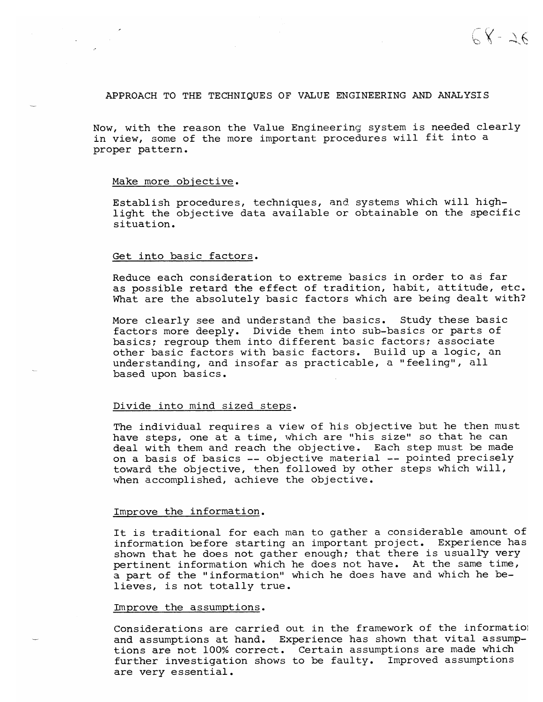#### APPROACH TO THE TECHNIQUES OF VALUE ENGINEERING AND ANALYSIS

Now, with the reason the Value Engineering system is needed clearly in view, some of the more important procedures will fit into a proper pattern.

#### Make more objective.

Establish procedures, techniques, and systems which will highlight the objective data available or obtainable on the specific situation.

#### Get into basic factors.

Reduce each consideration to extreme basics in order to as far as possible retard the effect of tradition, habit, attitude, etc. What are the absolutely basic factors which are being dealt with?

More clearly see and understand the basics. Study these basic factors more deeply. Divide them into sub-basics or parts of basics; regroup them into different basic factors; associate other basic factors with basic factors. Build up a logic, an understanding, and insofar as practicable, a "feeling", all based upon basics.

### Divide into mind sized steps.

The individual requires a view of his objective but he then must have steps, one at a time, which are "his size" so that he can deal with them and reach the objective. Each step must be made on a basis of basics -- objective material -- pointed precisely toward the objective, then followed by other steps which will, when accomplished, achieve the objective.

# Improve the information.

It is traditional for each man to gather a considerable amount of information before starting an important project. Experience has shown that he does not gather enough; that there is usually very pertinent information which he does not have. At the same time, a part of the "information" which he does have and which he believes, is not totally true.

### Improve the assumptions.

Considerations are carried out in the framework of the information and assumptions at hand. Experience has shown that vital assumptions are not 100% correct. Certain assumptions are made which further investigation shows to be faulty. Improved assumptions are very essential.